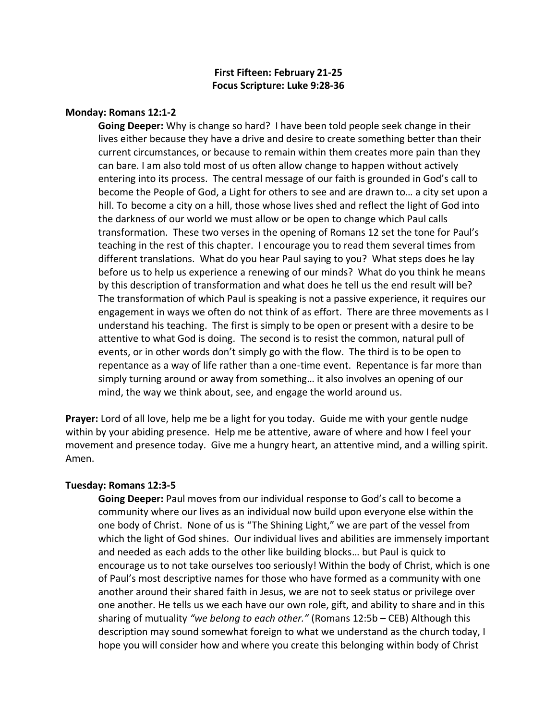# **First Fifteen: February 21-25 Focus Scripture: Luke 9:28-36**

### **Monday: Romans 12:1-2**

**Going Deeper:** Why is change so hard? I have been told people seek change in their lives either because they have a drive and desire to create something better than their current circumstances, or because to remain within them creates more pain than they can bare. I am also told most of us often allow change to happen without actively entering into its process. The central message of our faith is grounded in God's call to become the People of God, a Light for others to see and are drawn to… a city set upon a hill. To become a city on a hill, those whose lives shed and reflect the light of God into the darkness of our world we must allow or be open to change which Paul calls transformation. These two verses in the opening of Romans 12 set the tone for Paul's teaching in the rest of this chapter. I encourage you to read them several times from different translations. What do you hear Paul saying to you? What steps does he lay before us to help us experience a renewing of our minds? What do you think he means by this description of transformation and what does he tell us the end result will be? The transformation of which Paul is speaking is not a passive experience, it requires our engagement in ways we often do not think of as effort. There are three movements as I understand his teaching. The first is simply to be open or present with a desire to be attentive to what God is doing. The second is to resist the common, natural pull of events, or in other words don't simply go with the flow. The third is to be open to repentance as a way of life rather than a one-time event. Repentance is far more than simply turning around or away from something… it also involves an opening of our mind, the way we think about, see, and engage the world around us.

**Prayer:** Lord of all love, help me be a light for you today. Guide me with your gentle nudge within by your abiding presence. Help me be attentive, aware of where and how I feel your movement and presence today. Give me a hungry heart, an attentive mind, and a willing spirit. Amen.

## **Tuesday: Romans 12:3-5**

**Going Deeper:** Paul moves from our individual response to God's call to become a community where our lives as an individual now build upon everyone else within the one body of Christ. None of us is "The Shining Light," we are part of the vessel from which the light of God shines. Our individual lives and abilities are immensely important and needed as each adds to the other like building blocks… but Paul is quick to encourage us to not take ourselves too seriously! Within the body of Christ, which is one of Paul's most descriptive names for those who have formed as a community with one another around their shared faith in Jesus, we are not to seek status or privilege over one another. He tells us we each have our own role, gift, and ability to share and in this sharing of mutuality *"we belong to each other."* (Romans 12:5b – CEB) Although this description may sound somewhat foreign to what we understand as the church today, I hope you will consider how and where you create this belonging within body of Christ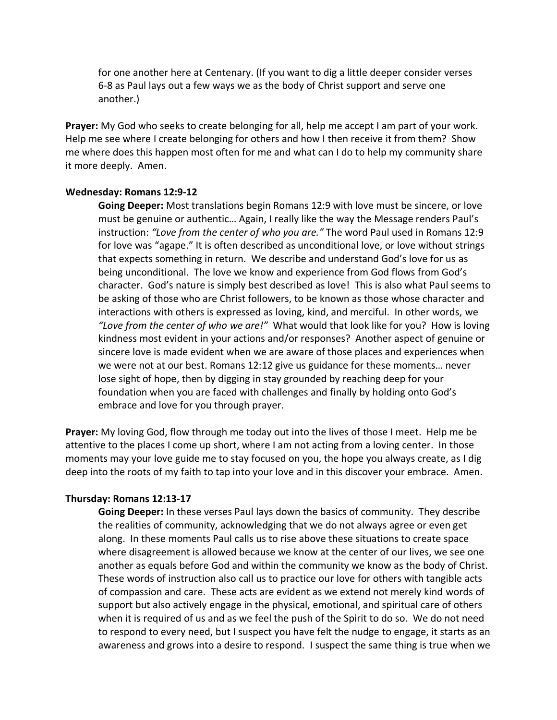for one another here at Centenary. (If you want to dig a little deeper consider verses 6-8 as Paul lays out a few ways we as the body of Christ support and serve one another.)

**Prayer:** My God who seeks to create belonging for all, help me accept I am part of your work. Help me see where I create belonging for others and how I then receive it from them? Show me where does this happen most often for me and what can I do to help my community share it more deeply. Amen.

### **Wednesday: Romans 12:9-12**

**Going Deeper:** Most translations begin Romans 12:9 with love must be sincere, or love must be genuine or authentic… Again, I really like the way the Message renders Paul's instruction: *"Love from the center of who you are."* The word Paul used in Romans 12:9 for love was "agape." It is often described as unconditional love, or love without strings that expects something in return. We describe and understand God's love for us as being unconditional. The love we know and experience from God flows from God's character. God's nature is simply best described as love! This is also what Paul seems to be asking of those who are Christ followers, to be known as those whose character and interactions with others is expressed as loving, kind, and merciful. In other words, we *"Love from the center of who we are!"* What would that look like for you? How is loving kindness most evident in your actions and/or responses? Another aspect of genuine or sincere love is made evident when we are aware of those places and experiences when we were not at our best. Romans 12:12 give us guidance for these moments… never lose sight of hope, then by digging in stay grounded by reaching deep for your foundation when you are faced with challenges and finally by holding onto God's embrace and love for you through prayer.

**Prayer:** My loving God, flow through me today out into the lives of those I meet. Help me be attentive to the places I come up short, where I am not acting from a loving center. In those moments may your love guide me to stay focused on you, the hope you always create, as I dig deep into the roots of my faith to tap into your love and in this discover your embrace. Amen.

#### **Thursday: Romans 12:13-17**

**Going Deeper:** In these verses Paul lays down the basics of community. They describe the realities of community, acknowledging that we do not always agree or even get along. In these moments Paul calls us to rise above these situations to create space where disagreement is allowed because we know at the center of our lives, we see one another as equals before God and within the community we know as the body of Christ. These words of instruction also call us to practice our love for others with tangible acts of compassion and care. These acts are evident as we extend not merely kind words of support but also actively engage in the physical, emotional, and spiritual care of others when it is required of us and as we feel the push of the Spirit to do so. We do not need to respond to every need, but I suspect you have felt the nudge to engage, it starts as an awareness and grows into a desire to respond. I suspect the same thing is true when we